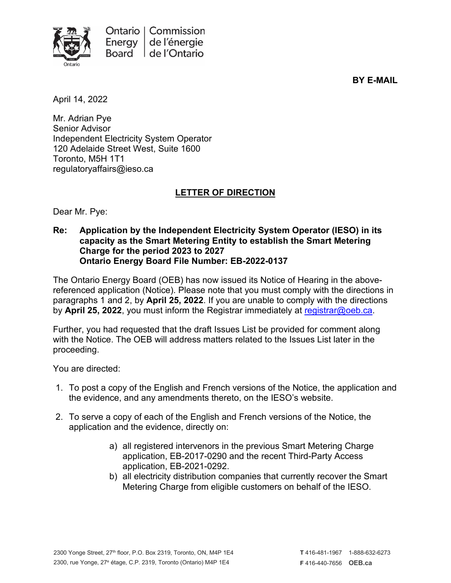

**BY E-MAIL**

April 14, 2022

Mr. Adrian Pye Senior Advisor Independent Electricity System Operator 120 Adelaide Street West, Suite 1600 Toronto, M5H 1T1 regulatoryaffairs@ieso.ca

## **LETTER OF DIRECTION**

Dear Mr. Pye:

**Re: Application by the Independent Electricity System Operator (IESO) in its capacity as the Smart Metering Entity to establish the Smart Metering Charge for the period 2023 to 2027 Ontario Energy Board File Number: EB-2022-0137**

The Ontario Energy Board (OEB) has now issued its Notice of Hearing in the abovereferenced application (Notice). Please note that you must comply with the directions in paragraphs 1 and 2, by **April 25, 2022**. If you are unable to comply with the directions by **April 25, 2022**, you must inform the Registrar immediately at [registrar@oeb.ca.](mailto:registrar@oeb.ca)

Further, you had requested that the draft Issues List be provided for comment along with the Notice. The OEB will address matters related to the Issues List later in the proceeding.

You are directed:

- 1. To post a copy of the English and French versions of the Notice, the application and the evidence, and any amendments thereto, on the IESO's website.
- 2. To serve a copy of each of the English and French versions of the Notice, the application and the evidence, directly on:
	- a) all registered intervenors in the previous Smart Metering Charge application, EB-2017-0290 and the recent Third-Party Access application, EB-2021-0292.
	- b) all electricity distribution companies that currently recover the Smart Metering Charge from eligible customers on behalf of the IESO.